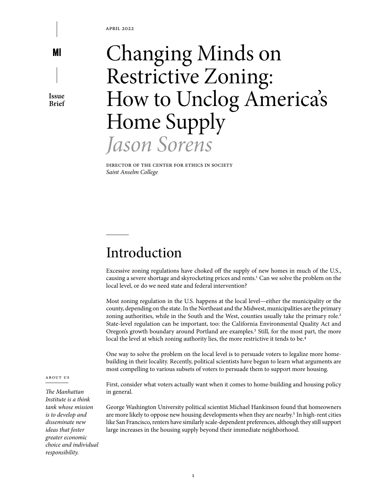**Issue Brief**

# Changing Minds on Restrictive Zoning: How to Unclog America's Home Supply *Jason Sorens*

Director of the Center for Ethics in Society *Saint Anselm College*

### Introduction

Excessive zoning regulations have choked off the supply of new homes in much of the U.S., causing a severe shortage and skyrocketing prices and rents.<sup>1</sup> Can we solve the problem on the local level, or do we need state and federal intervention?

Most zoning regulation in the U.S. happens at the local level—either the municipality or the county, depending on the state. In the Northeast and the Midwest, municipalities are the primary zoning authorities, while in the South and the West, counties usually take the primary role.<sup>2</sup> State-level regulation can be important, too: the California Environmental Quality Act and Oregon's growth boundary around Portland are examples.3 Still, for the most part, the more local the level at which zoning authority lies, the more restrictive it tends to be.<sup>4</sup>

One way to solve the problem on the local level is to persuade voters to legalize more homebuilding in their locality. Recently, political scientists have begun to learn what arguments are most compelling to various subsets of voters to persuade them to support more housing.

ABOUT US

*The Manhattan Institute is a think tank whose mission is to develop and disseminate new ideas that foster greater economic choice and individual responsibility.*

First, consider what voters actually want when it comes to home-building and housing policy in general.

George Washington University political scientist Michael Hankinson found that homeowners are more likely to oppose new housing developments when they are nearby.5 In high-rent cities like San Francisco, renters have similarly scale-dependent preferences, although they still support large increases in the housing supply beyond their immediate neighborhood.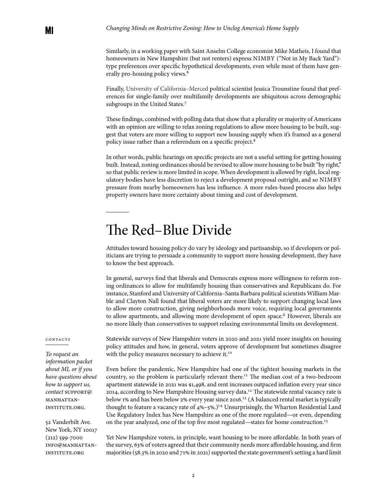Similarly, in a working paper with Saint Anselm College economist Mike Matheis, I found that homeowners in New Hampshire (but not renters) express NIMBY ("Not in My Back Yard") type preferences over specific hypothetical developments, even while most of them have generally pro-housing policy views.6

Finally, University of California–Merced political scientist Jessica Trounstine found that preferences for single-family over multifamily developments are ubiquitous across demographic subgroups in the United States.<sup>7</sup>

These findings, combined with polling data that show that a plurality or majority of Americans with an opinion are willing to relax zoning regulations to allow more housing to be built, suggest that voters are more willing to support new housing supply when it's framed as a general policy issue rather than a referendum on a specific project.<sup>8</sup>

In other words, public hearings on specific projects are not a useful setting for getting housing built. Instead, zoning ordinances should be revised to allow more housing to be built "by right," so that public review is more limited in scope. When development is allowed by right, local regulatory bodies have less discretion to reject a development proposal outright, and so NIMBY pressure from nearby homeowners has less influence. A more rules-based process also helps property owners have more certainty about timing and cost of development.

#### The Red–Blue Divide

Attitudes toward housing policy do vary by ideology and partisanship, so if developers or politicians are trying to persuade a community to support more housing development, they have to know the best approach.

In general, surveys find that liberals and Democrats express more willingness to reform zoning ordinances to allow for multifamily housing than conservatives and Republicans do. For instance, Stanford and University of California–Santa Barbara political scientists William Marble and Clayton Nall found that liberal voters are more likely to support changing local laws to allow more construction, giving neighborhoods more voice, requiring local governments to allow apartments, and allowing more development of open space.<sup>9</sup> However, liberals are no more likely than conservatives to support relaxing environmental limits on development.

#### CONTACTS

*To request an information packet about MI, or if you have questions about how to support us, contact* support@ MANHATTANinstitute.org.

52 Vanderbilt Ave. New York, NY 10017 (212) 599-7000 info@manhattaninstitute.org

Statewide surveys of New Hampshire voters in 2020 and 2021 yield more insights on housing policy attitudes and how, in general, voters approve of development but sometimes disagree with the policy measures necessary to achieve it.<sup>10</sup>

Even before the pandemic, New Hampshire had one of the tightest housing markets in the country, so the problem is particularly relevant there.<sup>11</sup> The median cost of a two-bedroom apartment statewide in 2021 was \$1,498, and rent increases outpaced inflation every year since 2014, according to New Hampshire Housing survey data.12 The statewide rental vacancy rate is below 1% and has been below 2% every year since 2016.13 (A balanced rental market is typically thought to feature a vacancy rate of  $4\% - 5\%$ .)<sup>14</sup> Unsurprisingly, the [Wharton Residential Land](https://real-faculty.wharton.upenn.edu/gyourko/land-use-survey/) [Use Regulatory Index](https://real-faculty.wharton.upenn.edu/gyourko/land-use-survey/) has New Hampshire as one of the more regulated—or even, depending on the year analyzed, one of the top five most regulated—states for home construction.15

Yet New Hampshire voters, in principle, want housing to be more affordable. In both years of the survey, 63% of voters agreed that their community needs more affordable housing, and firm majorities (58.3% in 2020 and 71% in 2021) supported the state government's setting a hard limit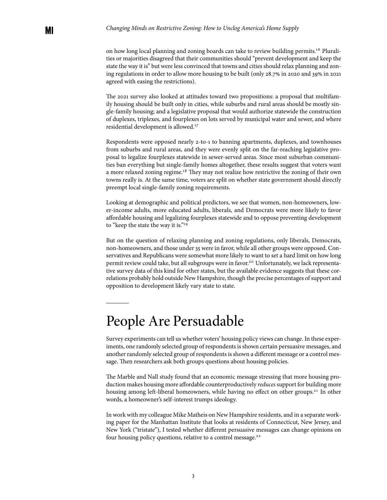on how long local planning and zoning boards can take to review building permits.16 Pluralities or majorities disagreed that their communities should "prevent development and keep the state the way it is" but were less convinced that towns and cities should relax planning and zoning regulations in order to allow more housing to be built (only 28.7% in 2020 and 39% in 2021 agreed with easing the restrictions).

The 2021 survey also looked at attitudes toward two propositions: a proposal that multifamily housing should be built only in cities, while suburbs and rural areas should be mostly single-family housing; and a legislative proposal that would authorize statewide the construction of duplexes, triplexes, and fourplexes on lots served by municipal water and sewer, and where residential development is allowed.17

Respondents were opposed nearly 2-to-1 to banning apartments, duplexes, and townhouses from suburbs and rural areas, and they were evenly split on the far-reaching legislative proposal to legalize fourplexes statewide in sewer-served areas. Since most suburban communities ban everything but single-family homes altogether, these results suggest that voters want a more relaxed zoning regime.18 They may not realize how restrictive the zoning of their own towns really is. At the same time, voters are split on whether state government should directly preempt local single-family zoning requirements.

Looking at demographic and political predictors, we see that women, non-homeowners, lower-income adults, more educated adults, liberals, and Democrats were more likely to favor affordable housing and legalizing fourplexes statewide and to oppose preventing development to "keep the state the way it is."<sup>19</sup>

But on the question of relaxing planning and zoning regulations, only liberals, Democrats, non-homeowners, and those under 35 were in favor, while all other groups were opposed. Conservatives and Republicans were somewhat more likely to want to set a hard limit on how long permit review could take, but all subgroups were in favor.20 Unfortunately, we lack representative survey data of this kind for other states, but the available evidence suggests that these correlations probably hold outside New Hampshire, though the precise percentages of support and opposition to development likely vary state to state.

#### People Are Persuadable

Survey experiments can tell us whether voters' housing policy views can change. In these experiments, one randomly selected group of respondents is shown certain persuasive messages, and another randomly selected group of respondents is shown a different message or a control message. Then researchers ask both groups questions about housing policies.

The Marble and Nall study found that an economic message stressing that more housing production makes housing more affordable counterproductively *reduces* support for building more housing among left-liberal homeowners, while having no effect on other groups.<sup>21</sup> In other words, a homeowner's self-interest trumps ideology.

In work with my colleague Mike Matheis on New Hampshire residents, and in a separate working paper for the Manhattan Institute that looks at residents of Connecticut, New Jersey, and New York ("tristate"), I tested whether different persuasive messages can change opinions on four housing policy questions, relative to a control message.<sup>22</sup>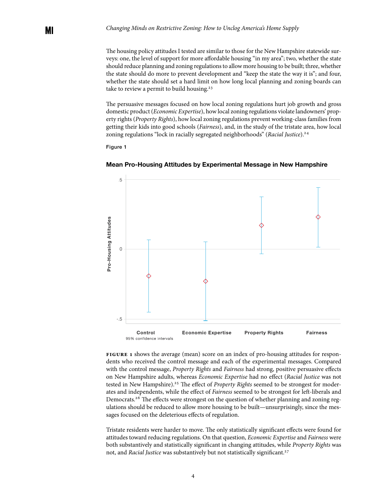The housing policy attitudes I tested are similar to those for the New Hampshire statewide surveys: one, the level of support for more affordable housing "in my area"; two, whether the state should reduce planning and zoning regulations to allow more housing to be built; three, whether the state should do more to prevent development and "keep the state the way it is"; and four, whether the state should set a hard limit on how long local planning and zoning boards can take to review a permit to build housing.<sup>23</sup>

The persuasive messages focused on how local zoning regulations hurt job growth and gross domestic product (*Economic Expertise*), how local zoning regulations violate landowners' property rights (*Property Rights*), how local zoning regulations prevent working-class families from getting their kids into good schools (*Fairness*), and, in the study of the tristate area, how local zoning regulations "lock in racially segregated neighborhoods" (*Racial Justice*).<sup>24</sup>

Figure 1



**Mean Pro-Housing Attitudes by Experimental Message in New Hampshire**

**Figure 1** shows the average (mean) score on an index of pro-housing attitudes for respondents who received the control message and each of the experimental messages. Compared with the control message, *Property Rights* and *Fairness* had strong, positive persuasive effects on New Hampshire adults, whereas *Economic Expertise* had no effect (*Racial Justice* was not tested in New Hampshire).<sup>25</sup> The effect of *Property Rights* seemed to be strongest for moderates and independents, while the effect of *Fairness* seemed to be strongest for left-liberals and Democrats.26 The effects were strongest on the question of whether planning and zoning regulations should be reduced to allow more housing to be built—unsurprisingly, since the messages focused on the deleterious effects of regulation.

Tristate residents were harder to move. The only statistically significant effects were found for attitudes toward reducing regulations. On that question, *Economic Expertise* and *Fairness* were both substantively and statistically significant in changing attitudes, while *Property Rights* was not, and *Racial Justice* was substantively but not statistically significant.<sup>27</sup>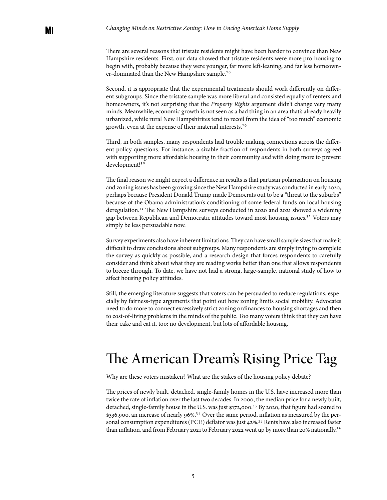There are several reasons that tristate residents might have been harder to convince than New Hampshire residents. First, our data showed that tristate residents were more pro-housing to begin with, probably because they were younger, far more left-leaning, and far less homeowner-dominated than the New Hampshire sample.<sup>28</sup>

Second, it is appropriate that the experimental treatments should work differently on different subgroups. Since the tristate sample was more liberal and consisted equally of renters and homeowners, it's not surprising that the *Property Rights* argument didn't change very many minds. Meanwhile, economic growth is not seen as a bad thing in an area that's already heavily urbanized, while rural New Hampshirites tend to recoil from the idea of "too much" economic growth, even at the expense of their material interests.29

Third, in both samples, many respondents had trouble making connections across the different policy questions. For instance, a sizable fraction of respondents in both surveys agreed with supporting more affordable housing in their community *and* with doing more to prevent development!<sup>30</sup>

The final reason we might expect a difference in results is that partisan polarization on housing and zoning issues has been growing since the New Hampshire study was conducted in early 2020, perhaps because President Donald Trump made Democrats out to be a "threat to the suburbs" because of the Obama administration's conditioning of some federal funds on local housing deregulation.31 The New Hampshire surveys conducted in 2020 and 2021 showed a widening gap between Republican and Democratic attitudes toward most housing issues.32 Voters may simply be less persuadable now.

Survey experiments also have inherent limitations. They can have small sample sizes that make it difficult to draw conclusions about subgroups. Many respondents are simply trying to complete the survey as quickly as possible, and a research design that forces respondents to carefully consider and think about what they are reading works better than one that allows respondents to breeze through. To date, we have not had a strong, large-sample, national study of how to affect housing policy attitudes.

Still, the emerging literature suggests that voters can be persuaded to reduce regulations, especially by fairness-type arguments that point out how zoning limits social mobility. Advocates need to do more to connect excessively strict zoning ordinances to housing shortages and then to cost-of-living problems in the minds of the public. Too many voters think that they can have their cake and eat it, too: no development, but lots of affordable housing.

### The American Dream's Rising Price Tag

Why are these voters mistaken? What are the stakes of the housing policy debate?

The prices of newly built, detached, single-family homes in the U.S. have increased more than twice the rate of inflation over the last two decades. In 2000, the median price for a newly built, detached, single-family house in the U.S. was just \$172,000.33 By 2020, that figure had soared to \$336,900, an increase of nearly 96%.34 Over the same period, inflation as measured by the personal consumption expenditures (PCE) deflator was just 42%. 35 Rents have also increased faster than inflation, and from February 2021 to February 2022 went up by more than 20% nationally.<sup>36</sup>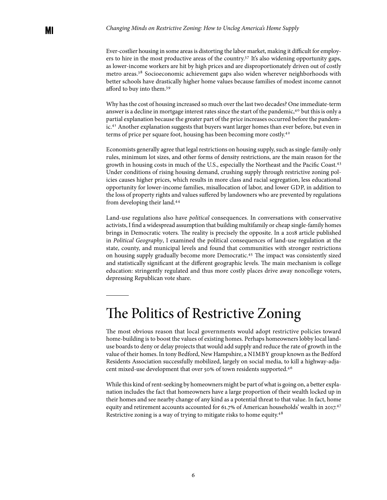Ever-costlier housing in some areas is distorting the labor market, making it difficult for employers to hire in the most productive areas of the country.<sup>37</sup> It's also widening opportunity gaps, as lower-income workers are hit by high prices and are disproportionately driven out of costly metro areas.38 Socioeconomic achievement gaps also widen wherever neighborhoods with better schools have drastically higher home values because families of modest income cannot afford to buy into them.<sup>39</sup>

Why has the cost of housing increased so much over the last two decades? One immediate-term answer is a decline in mortgage interest rates since the start of the pandemic,40 but this is only a partial explanation because the greater part of the price increases occurred before the pandemic.<sup>41</sup> Another explanation suggests that buyers want larger homes than ever before, but even in terms of price per square foot, housing has been becoming more costly.<sup>42</sup>

Economists generally agree that legal restrictions on housing supply, such as single-family-only rules, minimum lot sizes, and other forms of density restrictions, are the main reason for the growth in housing costs in much of the U.S., especially the Northeast and the Pacific Coast.43 Under conditions of rising housing demand, crushing supply through restrictive zoning policies causes higher prices, which results in more class and racial segregation, less educational opportunity for lower-income families, misallocation of labor, and lower GDP, in addition to the loss of property rights and values suffered by landowners who are prevented by regulations from developing their land.<sup>44</sup>

Land-use regulations also have *political* consequences. In conversations with conservative activists, I find a widespread assumption that building multifamily or cheap single-family homes brings in Democratic voters. The reality is precisely the opposite. In a 2018 article published in *Political Geography*, I examined the political consequences of land-use regulation at the state, county, and municipal levels and found that communities with stronger restrictions on housing supply gradually become more Democratic.45 The impact was consistently sized and statistically significant at the different geographic levels. The main mechanism is college education: stringently regulated and thus more costly places drive away noncollege voters, depressing Republican vote share.

### The Politics of Restrictive Zoning

The most obvious reason that local governments would adopt restrictive policies toward home-building is to boost the values of existing homes. Perhaps homeowners lobby local landuse boards to deny or delay projects that would add supply and reduce the rate of growth in the value of their homes. In tony Bedford, New Hampshire, a NIMBY group known as the Bedford Residents Association successfully mobilized, largely on social media, to kill a highway-adjacent mixed-use development that over 50% of town residents supported.<sup>46</sup>

While this kind of rent-seeking by homeowners might be part of what is going on, a better explanation includes the fact that homeowners have a large proportion of their wealth locked up in their homes and see nearby change of any kind as a potential threat to that value. In fact, home equity and retirement accounts accounted for 61.7% of American households' wealth in 2017.<sup>47</sup> Restrictive zoning is a way of trying to mitigate risks to home equity.48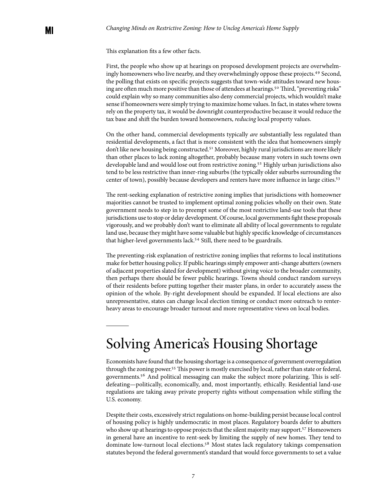This explanation fits a few other facts.

First, the people who show up at hearings on proposed development projects are overwhelmingly homeowners who live nearby, and they overwhelmingly oppose these projects.49 Second, the polling that exists on specific projects suggests that town-wide attitudes toward new housing are often much more positive than those of attendees at hearings.<sup>50</sup> Third, "preventing risks" could explain why so many communities also deny commercial projects, which wouldn't make sense if homeowners were simply trying to maximize home values. In fact, in states where towns rely on the property tax, it would be downright counterproductive because it would reduce the tax base and shift the burden toward homeowners, *reducing* local property values.

On the other hand, commercial developments typically *are* substantially less regulated than residential developments, a fact that is more consistent with the idea that homeowners simply don't like new housing being constructed.<sup>51</sup> Moreover, highly rural jurisdictions are more likely than other places to lack zoning altogether, probably because many voters in such towns own developable land and would lose out from restrictive zoning.52 Highly urban jurisdictions also tend to be less restrictive than inner-ring suburbs (the typically older suburbs surrounding the center of town), possibly because developers and renters have more influence in large cities.53

The rent-seeking explanation of restrictive zoning implies that jurisdictions with homeowner majorities cannot be trusted to implement optimal zoning policies wholly on their own. State government needs to step in to preempt some of the most restrictive land-use tools that these jurisdictions use to stop or delay development. Of course, local governments fight these proposals vigorously, and we probably don't want to eliminate all ability of local governments to regulate land use, because they might have some valuable but highly specific knowledge of circumstances that higher-level governments lack.54 Still, there need to be guardrails.

The preventing-risk explanation of restrictive zoning implies that reforms to local institutions make for better housing policy. If public hearings simply empower anti-change abutters (owners of adjacent properties slated for development) without giving voice to the broader community, then perhaps there should be fewer public hearings. Towns should conduct random surveys of their residents before putting together their master plans, in order to accurately assess the opinion of the whole. By-right development should be expanded. If local elections are also unrepresentative, states can change local election timing or conduct more outreach to renterheavy areas to encourage broader turnout and more representative views on local bodies.

### Solving America's Housing Shortage

Economists have found that the housing shortage is a consequence of government overregulation through the zoning power.55 This power is mostly exercised by local, rather than state or federal, governments.56 And political messaging can make the subject more polarizing. This is selfdefeating—politically, economically, and, most importantly, ethically. Residential land-use regulations are taking away private property rights without compensation while stifling the U.S. economy.

Despite their costs, excessively strict regulations on home-building persist because local control of housing policy is highly undemocratic in most places. Regulatory boards defer to abutters who show up at hearings to oppose projects that the silent majority may support.<sup>57</sup> Homeowners in general have an incentive to rent-seek by limiting the supply of new homes. They tend to dominate low-turnout local elections.58 Most states lack regulatory takings compensation statutes beyond the federal government's standard that would force governments to set a value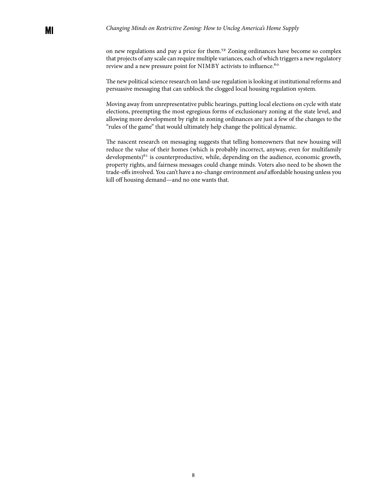on new regulations and pay a price for them.59 Zoning ordinances have become so complex that projects of any scale can require multiple variances, each of which triggers a new regulatory review and a new pressure point for NIMBY activists to influence.<sup>60</sup>

The new political science research on land-use regulation is looking at institutional reforms and persuasive messaging that can unblock the clogged local housing regulation system.

Moving away from unrepresentative public hearings, putting local elections on cycle with state elections, preempting the most egregious forms of exclusionary zoning at the state level, and allowing more development by right in zoning ordinances are just a few of the changes to the "rules of the game" that would ultimately help change the political dynamic.

The nascent research on messaging suggests that telling homeowners that new housing will reduce the value of their homes (which is probably incorrect, anyway, even for multifamily developments)<sup>61</sup> is counterproductive, while, depending on the audience, economic growth, property rights, and fairness messages could change minds. Voters also need to be shown the trade-offs involved. You can't have a no-change environment *and* affordable housing unless you kill off housing demand—and no one wants that.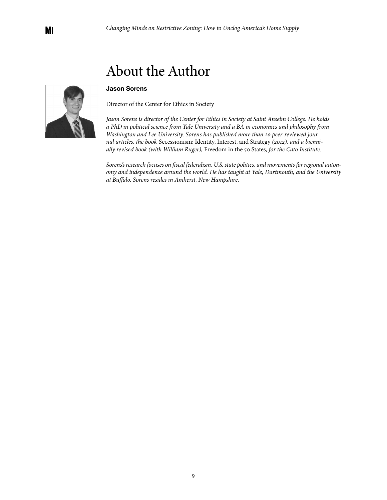## About the Author

#### **Jason Sorens**

Director of the Center for Ethics in Society

*Jason Sorens is director of the [Center for Ethics in Society at Saint Anselm College.](https://link.edgepilot.com/s/f4fac3aa/StKN0bbLZU6L9f5sNvtsIA?u=http://www.anselm.edu/ethics) He holds a PhD in political science from Yale University and a BA in economics and philosophy from Washington and Lee University. Sorens has published more than 20 peer-reviewed journal articles, the book* Secessionism: Identity, Interest, and Strategy *(2012), and a biennially revised book (with William Ruger),* Freedom in the 50 States*, for the Cato Institute.* 

*Sorens's research focuses on fiscal federalism, U.S. state politics, and movements for regional autonomy and independence around the world. He has taught at Yale, Dartmouth, and the University at Buffalo. Sorens resides in Amherst, New Hampshire.*

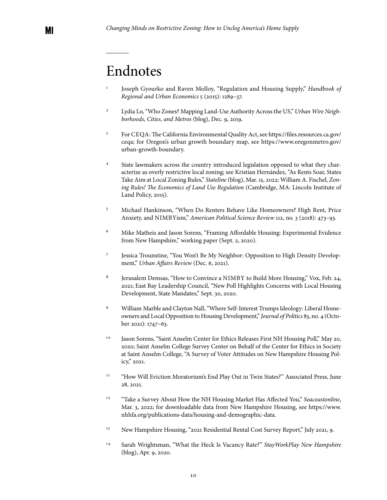### Endnotes

- <sup>1</sup> Joseph Gyourko and Raven Molloy, ["Regulation and Housing Supply](https://www.sciencedirect.com/science/article/abs/pii/B9780444595317000193)," *Handbook of Regional and Urban Economics* 5 (2015): 1289–37.
- <sup>2</sup> Lydia Lo, "[Who Zones? Mapping Land-Use Authority Across the US,](https://www.urban.org/urban-wire/who-zones-mapping-land-use-authority-across-us)" *Urban Wire Neighborhoods, Cities, and Metros* (blog), Dec. 9, 2019.
- <sup>3</sup> For CEQA: The California Environmental Quality Act, see [https://files.resources.ca.gov/](https://files.resources.ca.gov/ceqa/) [ceqa;](https://files.resources.ca.gov/ceqa/) for Oregon's urban growth boundary map, see [https://www.oregonmetro.gov/](https://www.oregonmetro.gov/urban-growth-boundary) [urban-growth-boundary.](https://www.oregonmetro.gov/urban-growth-boundary)
- <sup>4</sup> State lawmakers across the country introduced legislation opposed to what they characterize as overly restrictive local zoning; see Kristian Hernández, ["As Rents Soar, States](https://www.pewtrusts.org/en/research-and-analysis/blogs/stateline/2022/03/15/as-rents-soar-states-take-aim-at-local-zoning-laws)  [Take Aim at Local Zoning Rules](https://www.pewtrusts.org/en/research-and-analysis/blogs/stateline/2022/03/15/as-rents-soar-states-take-aim-at-local-zoning-laws)," *Stateline* (blog), Mar. 15, 2022; William A. Fischel, *[Zon](https://www.lincolninst.edu/sites/default/files/pubfiles/zoning-rules-chp.pdf)[ing Rules! The Economics of Land Use Regulation](https://www.lincolninst.edu/sites/default/files/pubfiles/zoning-rules-chp.pdf)* (Cambridge, MA: Lincoln Institute of Land Policy, 2015).
- <sup>5</sup> Michael Hankinson, ["When Do Renters Behave Like Homeowners? High Rent, Price](https://www.cambridge.org/core/journals/american-political-science-review/article/abs/when-do-renters-behave-like-homeowners-high-rent-price-anxiety-and-nimbyism/72B5F7B4CFEC099E9EC4A7A1EAD8611D)  [Anxiety, and NIMBY](https://www.cambridge.org/core/journals/american-political-science-review/article/abs/when-do-renters-behave-like-homeowners-high-rent-price-anxiety-and-nimbyism/72B5F7B4CFEC099E9EC4A7A1EAD8611D)ism," *American Political Science Review* 112, no. 3 (2018): 473–93.
- <sup>6</sup> Mike Matheis and Jason Sorens, "[Framing Affordable Housing: Experimental Evidence](https://www.anselm.edu/sites/default/files/CEBG/Framing%20Affordable%20Housing%20ConfRev.pdf)  [from New Hampshire](https://www.anselm.edu/sites/default/files/CEBG/Framing%20Affordable%20Housing%20ConfRev.pdf)," working paper (Sept. 2, 2020).
- <sup>7</sup> Jessica Trounstine, "[You Won't Be My Neighbor: Opposition to High Density Develop](https://faculty.ucmerced.edu/jtrounstine/Skittles_UAR_ALL.pdf)[ment,](https://faculty.ucmerced.edu/jtrounstine/Skittles_UAR_ALL.pdf)" *Urban Affairs Review* (Dec. 6, 2021).
- <sup>8</sup> Jerusalem Demsas, "[How to Convince a NIMBY to Build More Housing](https://www.vox.com/22297328/affordable-housing-nimby-housing-prices-rising-poll-data-for-progress)," Vox, Feb. 24, 2021; East Bay Leadership Council, ["New Poll Highlights Concerns with Local Housing](https://eastbayleadershipcouncil.com/news/new-poll-highlights-concernes-with-local-housing-development-state-mandates)  [Development, State Mandates,](https://eastbayleadershipcouncil.com/news/new-poll-highlights-concernes-with-local-housing-development-state-mandates)" Sept. 30, 2020.
- <sup>9</sup> William Marble and Clayton Nall, ["Where Self-Interest Trumps Ideology: Liberal Home](https://www.journals.uchicago.edu/doi/full/10.1086/711717)[owners and Local Opposition to Housing Development](https://www.journals.uchicago.edu/doi/full/10.1086/711717)," *Journal of Politics* 83, no. 4 (October 2021): 1747–63.
- <sup>10</sup> Jason Sorens, "[Saint Anselm Center for Ethics Releases First NH Housing Poll](https://www.anselm.edu/ethics-governance/blog/saint-anselm-center-ethics-releases-first-nh-housing-poll)," May 20, 2020; Saint Anselm College Survey Center on Behalf of the Center for Ethics in Society at Saint Anselm College, ["A Survey of Voter Attitudes on New Hampshire Housing Pol](https://www.anselm.edu/sites/default/files/CEBG/SACCESBook621.pdf)[icy,](https://www.anselm.edu/sites/default/files/CEBG/SACCESBook621.pdf)" 2021.
- <sup>11</sup> "[How Will Eviction Moratorium's End Play Out in Twin States?"](https://www.vnews.com/Evictions-information-July-deadline-41194797) Associated Press, June 28, 2021.
- <sup>12</sup> "[Take a Survey About How the NH Housing Market Has Affected You](https://www.seacoastonline.com/story/news/2022/03/03/take-survey-how-nh-housing-market-has-affected-you/9331629002/)," Seacoastonline, Mar. 3, 2022; for downloadable data from New Hampshire Housing, see [https://www.](https://www.nhhfa.org/publications-data/housing-and-demographic-data/) [nhhfa.org/publications-data/housing-and-demographic-data.](https://www.nhhfa.org/publications-data/housing-and-demographic-data/)
- <sup>13</sup> New Hampshire Housing, ["2021 Residential Rental Cost Survey Report,](https://www.nhhfa.org/wp-content/uploads/2021/07/NH-Housing-Rental-Survey-Report-2021.pdf)" July 2021, 9.
- <sup>14</sup> Sarah Wrightsman, ["What the Heck Is Vacancy Rate?"](https://stayworkplay.org/blog/what-the-heck-is-vacancy-rate/) *StayWorkPlay New Hampshire*  (blog), Apr. 9, 2020.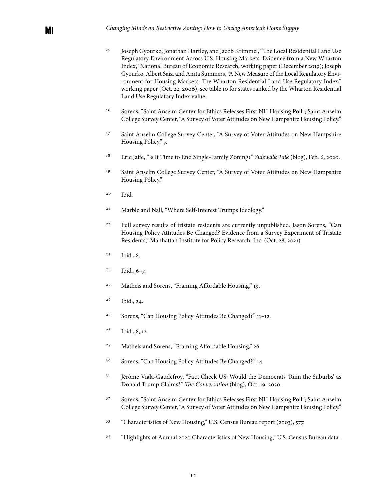- <sup>15</sup> Joseph Gyourko, Jonathan Hartley, and Jacob Krimmel, "[The Local Residential Land Use](https://real-faculty.wharton.upenn.edu/wp-content/uploads/~gyourko/WRLURI/GyourkoHartleyKrimmel_NBERw26573.pdf) [Regulatory Environment Across U.S. Housing Markets: Evidence from a New Wharton](https://real-faculty.wharton.upenn.edu/wp-content/uploads/~gyourko/WRLURI/GyourkoHartleyKrimmel_NBERw26573.pdf) [Index,](https://real-faculty.wharton.upenn.edu/wp-content/uploads/~gyourko/WRLURI/GyourkoHartleyKrimmel_NBERw26573.pdf)" National Bureau of Economic Research, working paper (December 2019); Joseph Gyourko, Albert Saiz, and Anita Summers, ["A New Measure of the Local Regulatory Envi](https://realestate.wharton.upenn.edu/working-papers/a-new-measure-of-the-local-regulatory-environment-for-housing-markets-the-wharton-residential-land-use-regulatory-index/)[ronment for Housing Markets: The Wharton Residential Land Use Regulatory Index](https://realestate.wharton.upenn.edu/working-papers/a-new-measure-of-the-local-regulatory-environment-for-housing-markets-the-wharton-residential-land-use-regulatory-index/)," working paper (Oct. 22, 2006), see table 10 for states ranked by the Wharton Residential Land Use Regulatory Index value.
- <sup>16</sup> Sorens, "Saint Anselm Center for Ethics Releases First NH Housing Poll"; Saint Anselm College Survey Center, "A Survey of Voter Attitudes on New Hampshire Housing Policy."
- <sup>17</sup> Saint Anselm College Survey Center, "A Survey of Voter Attitudes on New Hampshire Housing Policy," 7.
- <sup>18</sup> Eric Jaffe, ["Is It Time to End Single-Family Zoning?"](https://medium.com/sidewalk-talk/is-it-time-to-end-single-family-zoning-56233d69a25a) *Sidewalk Talk* (blog), Feb. 6, 2020.
- <sup>19</sup> Saint Anselm College Survey Center, "A Survey of Voter Attitudes on New Hampshire Housing Policy."
- <sup>20</sup> Ibid.

MI

- <sup>21</sup> Marble and Nall, "Where Self-Interest Trumps Ideology."
- <sup>22</sup> Full survey results of tristate residents are currently unpublished. Jason Sorens, "Can Housing Policy Attitudes Be Changed? Evidence from a Survey Experiment of Tristate Residents," Manhattan Institute for Policy Research, Inc. (Oct. 28, 2021).
- <sup>23</sup> Ibid., 8.
- $24$  Ibid.,  $6-7$ .
- <sup>25</sup> Matheis and Sorens, "Framing Affordable Housing," 19.
- <sup>26</sup> Ibid., 24.
- <sup>27</sup> Sorens, "Can Housing Policy Attitudes Be Changed?" 11–12.
- <sup>28</sup> Ibid., 8, 12.
- <sup>29</sup> Matheis and Sorens, "Framing Affordable Housing," 26.
- <sup>30</sup> Sorens, "Can Housing Policy Attitudes Be Changed?" 14.
- <sup>31</sup> Jérôme Viala-Gaudefroy, "Fact Check US: Would the Democrats 'Ruin the Suburbs' as [Donald Trump Claims?](https://theconversation.com/fact-check-us-would-the-democrats-ruin-the-suburbs-as-donald-trump-claims-147211)" *The Conversation* (blog), Oct. 19, 2020.
- <sup>32</sup> Sorens, "Saint Anselm Center for Ethics Releases First NH Housing Poll"; Saint Anselm College Survey Center, "A Survey of Voter Attitudes on New Hampshire Housing Policy."
- <sup>33</sup> "[Characteristics of New Housing,](https://www.census.gov/construction/chars/pdf/c25ann2003.pdf)" U.S. Census Bureau report (2003), 577.
- <sup>34</sup> "[Highlights of Annual 2020 Characteristics of New Housing](https://www.census.gov/construction/chars/highlights.html)," U.S. Census Bureau data.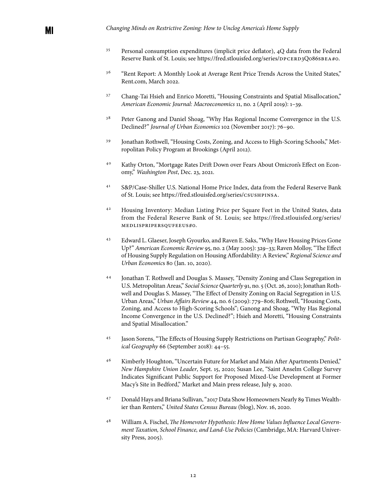- <sup>35</sup> Personal consumption expenditures (implicit price deflator), 4Q data from the Federal Reserve Bank of St. Louis; see https://fred.stlouisfed.org/series/DPCERD3Q086SBEA#0.
- <sup>36</sup> "[Rent Report: A Monthly Look at Average Rent Price Trends Across the United States](https://www.rent.com/research/average-rent-price-report/)," Rent.com, March 2022.
- <sup>37</sup> Chang-Tai Hsieh and Enrico Moretti, ["Housing Constraints and Spatial Misallocation](https://www.aeaweb.org/articles?id=10.1257/mac.20170388)," *American Economic Journal: Macroeconomics* 11, no. 2 (April 2019): 1–39.
- <sup>38</sup> Peter Ganong and Daniel Shoag, "Why Has Regional Income Convergence in the U.S. [Declined?](https://www.sciencedirect.com/science/article/abs/pii/S0094119017300591)" *Journal of Urban Economics* 102 (November 2017): 76–90.
- <sup>39</sup> Jonathan Rothwell, "[Housing Costs, Zoning, and Access to High-Scoring Schools](https://www.brookings.edu/wp-content/uploads/2016/06/0419_school_inequality_rothwell.pdf)," Metropolitan Policy Program at Brookings (April 2012).
- <sup>40</sup> Kathy Orton, ["Mortgage Rates Drift Down over Fears About Omicron's Effect on Econ](https://www.washingtonpost.com/business/2021/12/23/mortgage-rates-drift-down-over-fears-about-omicrons-effect-economy/)[omy,](https://www.washingtonpost.com/business/2021/12/23/mortgage-rates-drift-down-over-fears-about-omicrons-effect-economy/)" *Washington Post*, Dec. 23, 2021.
- <sup>41</sup> S&P/Case-Shiller U.S. National Home Price Index, data from the Federal Reserve Bank of St. Louis; see https://fred.stlouisfed.org/series/CSUSHPINSA.
- <sup>42</sup> Housing Inventory: Median Listing Price per Square Feet in the United States, data from the Federal Reserve Bank of St. Louis; see https://fred.stlouisfed.org/series/ MEDLISPRIPERSQUFEEUS#0.
- <sup>43</sup> Edward L. Glaeser, Joseph Gyourko, and Raven E. Saks, ["Why Have Housing Prices Gone](https://www.aeaweb.org/articles?id=10.1257/000282805774669961) [Up?](https://www.aeaweb.org/articles?id=10.1257/000282805774669961)" *American Economic Review* 95, no. 2 (May 2005): 329–33; Raven Molloy, ["The Effect](https://www.sciencedirect.com/science/article/abs/pii/S016604621730248X) [of Housing Supply Regulation on Housing Affordability: A Review](https://www.sciencedirect.com/science/article/abs/pii/S016604621730248X)," *Regional Science and Urban Economic*s 80 (Jan. 10, 2020).
- <sup>44</sup> Jonathan T. Rothwell and Douglas S. Massey, ["Density Zoning and Class Segregation in](https://onlinelibrary.wiley.com/doi/10.1111/j.1540-6237.2010.00724.x) [U.S. Metropolitan Areas](https://onlinelibrary.wiley.com/doi/10.1111/j.1540-6237.2010.00724.x)," *Social Science Quarterly* 91, no. 5 (Oct. 26, 2010); Jonathan Rothwell and Douglas S. Massey, "[The Effect of Density Zoning on Racial Segregation in U.S.](https://journals.sagepub.com/doi/abs/10.1177/1078087409334163?casa_token=gz-IynPNkNEAAAAA:sl16hYpSKfRLQRZxefATB23dyKDGzl6ddDc6SYq0EZQm0DiM6QY4lCJz6u_yswJCHlycmCkzxk1Nzg) [Urban Areas,](https://journals.sagepub.com/doi/abs/10.1177/1078087409334163?casa_token=gz-IynPNkNEAAAAA:sl16hYpSKfRLQRZxefATB23dyKDGzl6ddDc6SYq0EZQm0DiM6QY4lCJz6u_yswJCHlycmCkzxk1Nzg)" *Urban Affairs Review* 44, no. 6 (2009): 779–806; Rothwell, "[Housing Costs,](https://www.brookings.edu/wp-content/uploads/2016/06/0419_school_inequality_rothwell.pdf)  [Zoning, and Access to High-Scoring Schools](https://www.brookings.edu/wp-content/uploads/2016/06/0419_school_inequality_rothwell.pdf)"; Ganong and Shoag, "[Why Has Regional](https://www.sciencedirect.com/science/article/abs/pii/S0094119017300591) [Income Convergence in the U.S. Declined?"](https://www.sciencedirect.com/science/article/abs/pii/S0094119017300591); Hsieh and Moretti, "[Housing Constraints](https://www.aeaweb.org/articles?id=10.1257/mac.20170388)  [and Spatial Misallocation](https://www.aeaweb.org/articles?id=10.1257/mac.20170388)."
- <sup>45</sup> Jason Sorens, "[The Effects of Housing Supply Restrictions on Partisan Geography,](https://www.sciencedirect.com/science/article/abs/pii/S0962629817303451)" *Political Geography* 66 (September 2018): 44–55.
- <sup>46</sup> Kimberly Houghton, ["Uncertain Future for Market and Main After Apartments Denied](https://www.unionleader.com/news/business/uncertain-future-for-market-and-main-after-apartments-denied/article_190c43db-0db9-54e8-a3f7-c7fa85100de5.html)," *New Hampshire Union Leader*, Sept. 15, 2020; Susan Lee, "[Saint Anselm College Survey](https://www.marketandmainbedford.com/uncategorized/60-of-bedford-residents-support-market-and-main-bedford-development/)  [Indicates Significant Public Support for Proposed Mixed-Use Development at Former](https://www.marketandmainbedford.com/uncategorized/60-of-bedford-residents-support-market-and-main-bedford-development/)  [Macy's Site in Bedford,](https://www.marketandmainbedford.com/uncategorized/60-of-bedford-residents-support-market-and-main-bedford-development/)" Market and Main press release, July 9, 2020.
- <sup>47</sup> Donald Hays and Briana Sullivan, ["2017 Data Show Homeowners Nearly 89 Times Wealth](https://www.census.gov/library/stories/2020/11/gaps-in-wealth-of-americans-by-household-type-in-2017.html)[ier than Renters,](https://www.census.gov/library/stories/2020/11/gaps-in-wealth-of-americans-by-household-type-in-2017.html)" *United States Census Bureau* (blog), Nov. 16, 2020.
- <sup>48</sup> William A. Fischel, *The Homevoter Hypothesis: How Home Values Influence Local Government Taxation, School Finance, and Land-Use Policies* (Cambridge, MA: Harvard University Press, 2005).